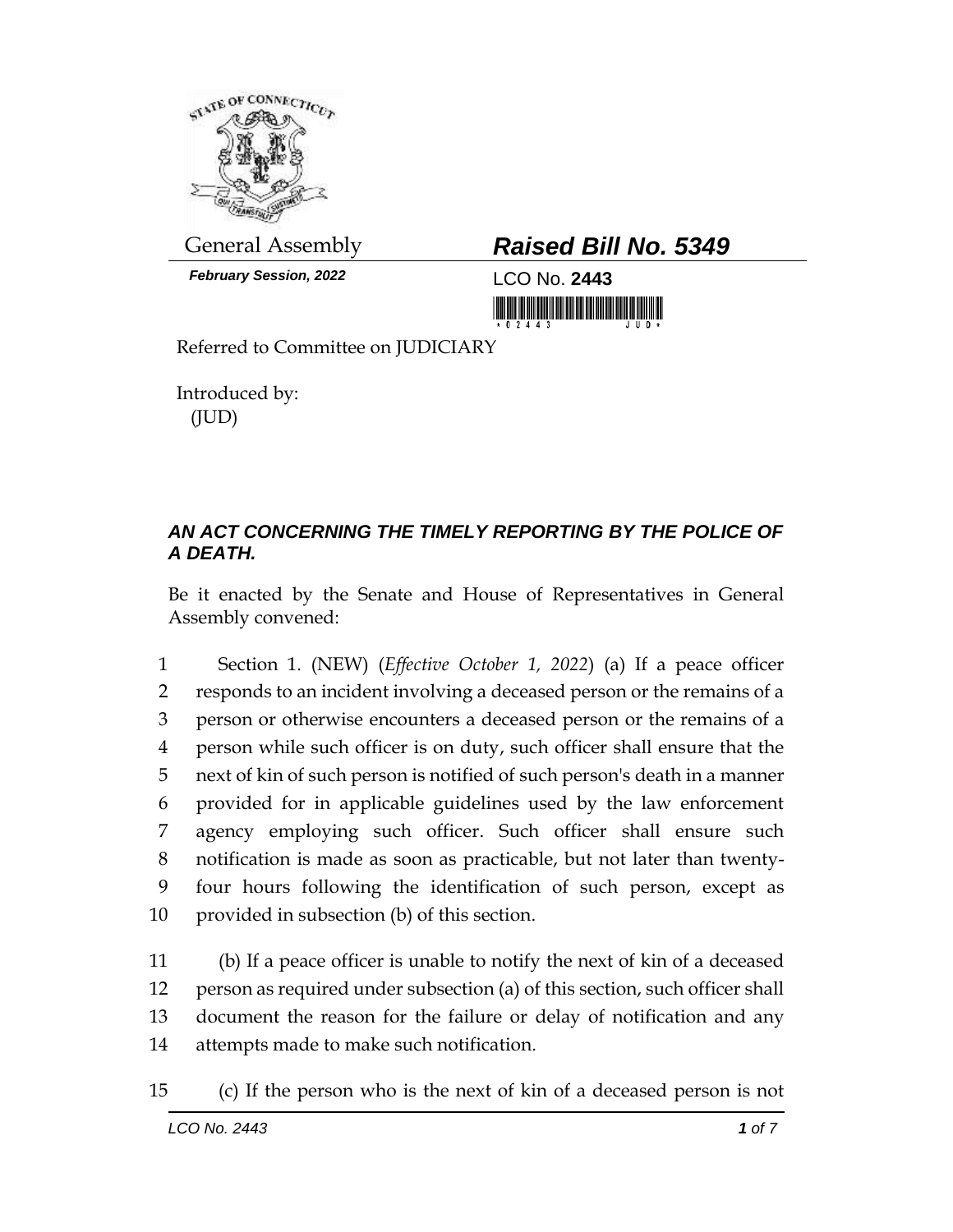

*February Session, 2022* LCO No. **2443**

## General Assembly *Raised Bill No. 5349*

<u> III di kacamatan ing Kabupatèn Ing Kabupatèn Ing Kabupatèn Ing Kabupatèn Ing Kabupatèn Ing Kabupatèn Ing Kabupa</u>

Referred to Committee on JUDICIARY

Introduced by: (JUD)

## *AN ACT CONCERNING THE TIMELY REPORTING BY THE POLICE OF A DEATH.*

Be it enacted by the Senate and House of Representatives in General Assembly convened:

 Section 1. (NEW) (*Effective October 1, 2022*) (a) If a peace officer responds to an incident involving a deceased person or the remains of a person or otherwise encounters a deceased person or the remains of a person while such officer is on duty, such officer shall ensure that the next of kin of such person is notified of such person's death in a manner provided for in applicable guidelines used by the law enforcement agency employing such officer. Such officer shall ensure such notification is made as soon as practicable, but not later than twenty- four hours following the identification of such person, except as provided in subsection (b) of this section.

 (b) If a peace officer is unable to notify the next of kin of a deceased person as required under subsection (a) of this section, such officer shall document the reason for the failure or delay of notification and any attempts made to make such notification.

15 (c) If the person who is the next of kin of a deceased person is not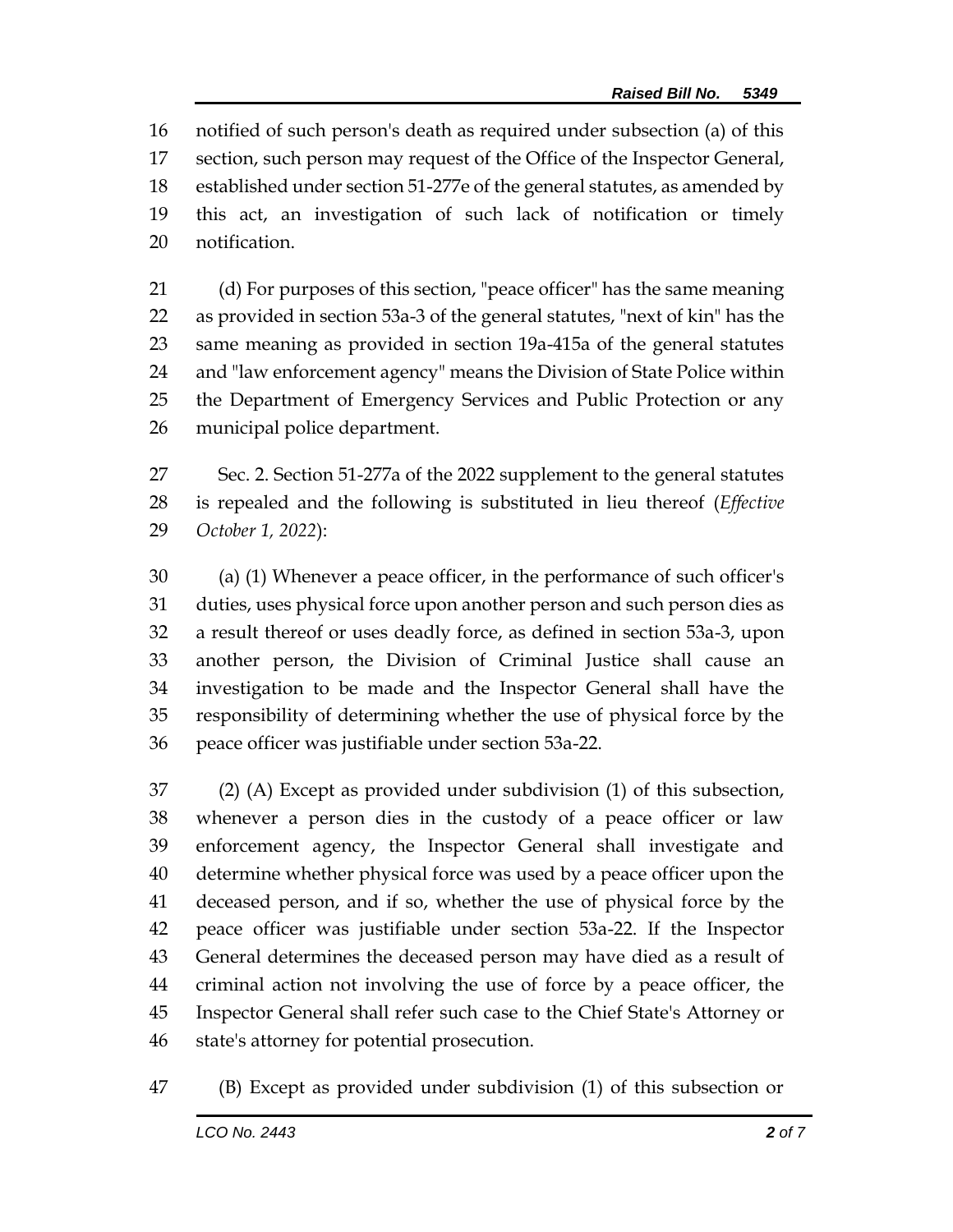notified of such person's death as required under subsection (a) of this section, such person may request of the Office of the Inspector General, established under section 51-277e of the general statutes, as amended by this act, an investigation of such lack of notification or timely notification.

 (d) For purposes of this section, "peace officer" has the same meaning as provided in section 53a-3 of the general statutes, "next of kin" has the same meaning as provided in section 19a-415a of the general statutes and "law enforcement agency" means the Division of State Police within the Department of Emergency Services and Public Protection or any municipal police department.

 Sec. 2. Section 51-277a of the 2022 supplement to the general statutes is repealed and the following is substituted in lieu thereof (*Effective October 1, 2022*):

 (a) (1) Whenever a peace officer, in the performance of such officer's duties, uses physical force upon another person and such person dies as a result thereof or uses deadly force, as defined in section 53a-3, upon another person, the Division of Criminal Justice shall cause an investigation to be made and the Inspector General shall have the responsibility of determining whether the use of physical force by the peace officer was justifiable under section 53a-22.

 (2) (A) Except as provided under subdivision (1) of this subsection, whenever a person dies in the custody of a peace officer or law enforcement agency, the Inspector General shall investigate and determine whether physical force was used by a peace officer upon the deceased person, and if so, whether the use of physical force by the peace officer was justifiable under section 53a-22. If the Inspector General determines the deceased person may have died as a result of criminal action not involving the use of force by a peace officer, the Inspector General shall refer such case to the Chief State's Attorney or state's attorney for potential prosecution.

(B) Except as provided under subdivision (1) of this subsection or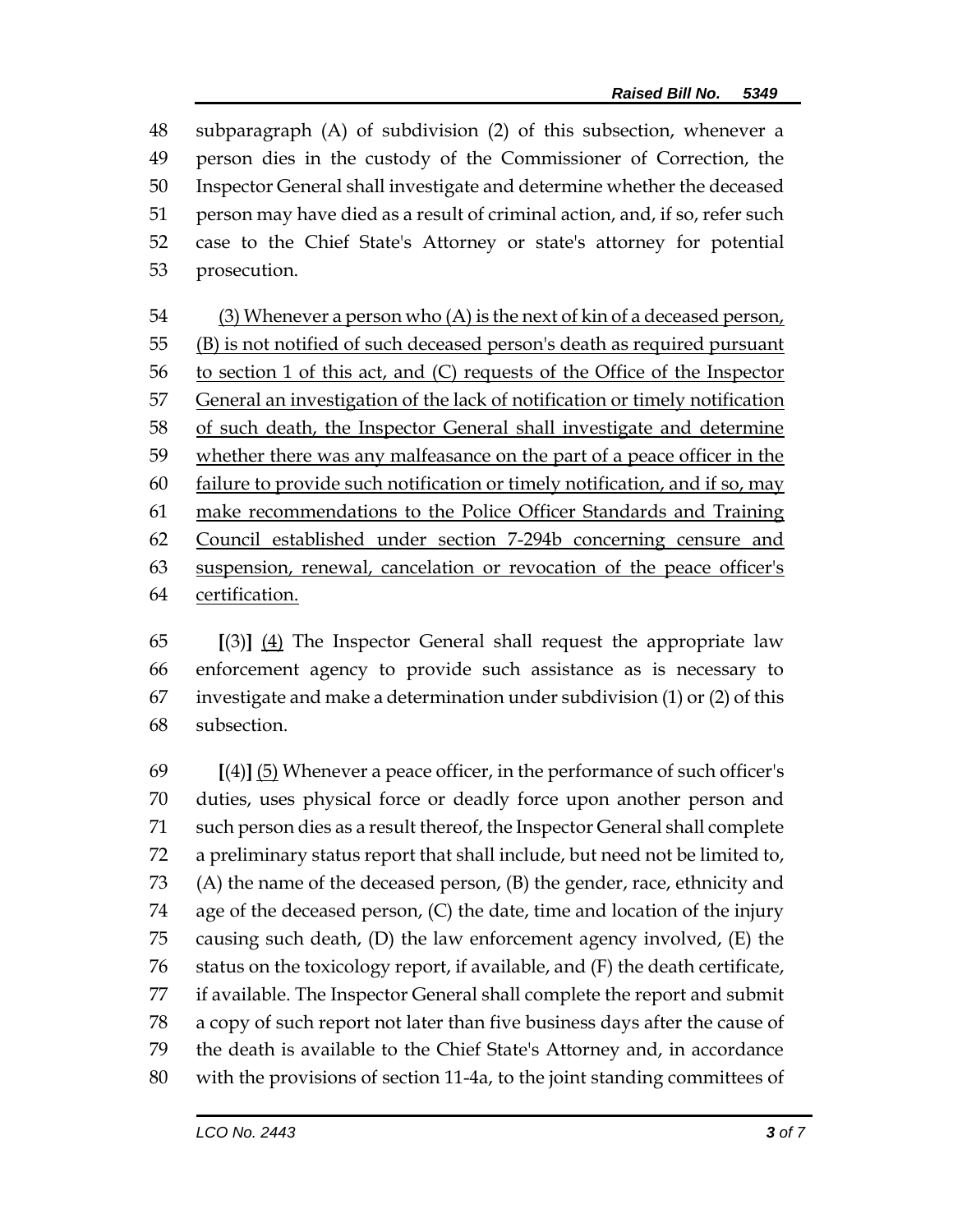subparagraph (A) of subdivision (2) of this subsection, whenever a person dies in the custody of the Commissioner of Correction, the Inspector General shall investigate and determine whether the deceased person may have died as a result of criminal action, and, if so, refer such case to the Chief State's Attorney or state's attorney for potential prosecution.

54 (3) Whenever a person who  $(A)$  is the next of kin of a deceased person, (B) is not notified of such deceased person's death as required pursuant to section 1 of this act, and (C) requests of the Office of the Inspector 57 General an investigation of the lack of notification or timely notification of such death, the Inspector General shall investigate and determine whether there was any malfeasance on the part of a peace officer in the failure to provide such notification or timely notification, and if so, may make recommendations to the Police Officer Standards and Training Council established under section 7-294b concerning censure and suspension, renewal, cancelation or revocation of the peace officer's certification.

 **[**(3)**]** (4) The Inspector General shall request the appropriate law enforcement agency to provide such assistance as is necessary to investigate and make a determination under subdivision (1) or (2) of this subsection.

 **[**(4)**]** (5) Whenever a peace officer, in the performance of such officer's duties, uses physical force or deadly force upon another person and such person dies as a result thereof, the Inspector General shall complete a preliminary status report that shall include, but need not be limited to, (A) the name of the deceased person, (B) the gender, race, ethnicity and age of the deceased person, (C) the date, time and location of the injury causing such death, (D) the law enforcement agency involved, (E) the status on the toxicology report, if available, and (F) the death certificate, if available. The Inspector General shall complete the report and submit a copy of such report not later than five business days after the cause of the death is available to the Chief State's Attorney and, in accordance with the provisions of section 11-4a, to the joint standing committees of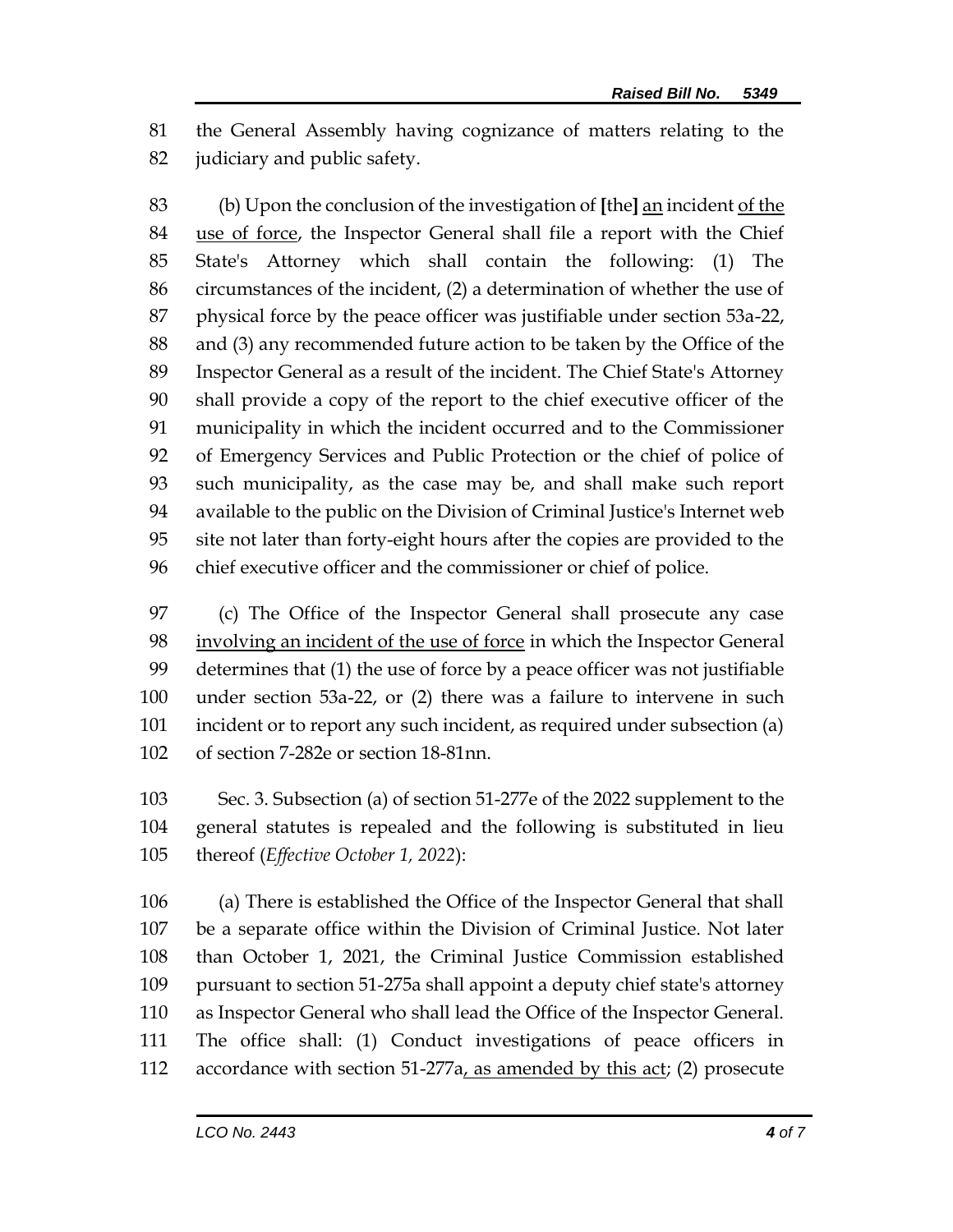the General Assembly having cognizance of matters relating to the 82 judiciary and public safety.

 (b) Upon the conclusion of the investigation of **[**the**]** an incident of the use of force, the Inspector General shall file a report with the Chief State's Attorney which shall contain the following: (1) The circumstances of the incident, (2) a determination of whether the use of physical force by the peace officer was justifiable under section 53a-22, and (3) any recommended future action to be taken by the Office of the Inspector General as a result of the incident. The Chief State's Attorney shall provide a copy of the report to the chief executive officer of the municipality in which the incident occurred and to the Commissioner of Emergency Services and Public Protection or the chief of police of such municipality, as the case may be, and shall make such report available to the public on the Division of Criminal Justice's Internet web site not later than forty-eight hours after the copies are provided to the chief executive officer and the commissioner or chief of police.

 (c) The Office of the Inspector General shall prosecute any case involving an incident of the use of force in which the Inspector General determines that (1) the use of force by a peace officer was not justifiable under section 53a-22, or (2) there was a failure to intervene in such incident or to report any such incident, as required under subsection (a) of section 7-282e or section 18-81nn.

 Sec. 3. Subsection (a) of section 51-277e of the 2022 supplement to the general statutes is repealed and the following is substituted in lieu thereof (*Effective October 1, 2022*):

 (a) There is established the Office of the Inspector General that shall be a separate office within the Division of Criminal Justice. Not later than October 1, 2021, the Criminal Justice Commission established pursuant to section 51-275a shall appoint a deputy chief state's attorney as Inspector General who shall lead the Office of the Inspector General. The office shall: (1) Conduct investigations of peace officers in 112 accordance with section 51-277a, as amended by this act; (2) prosecute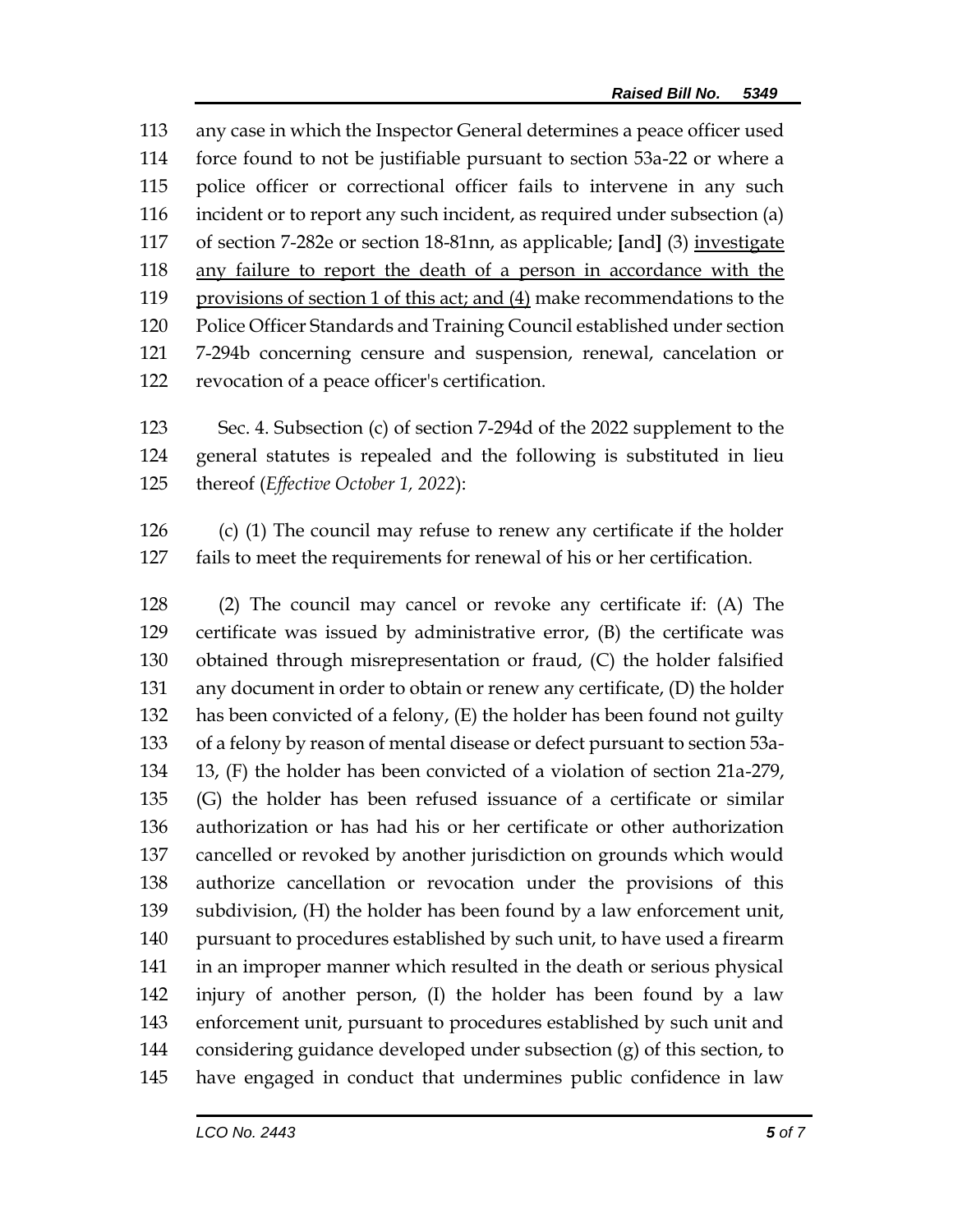any case in which the Inspector General determines a peace officer used force found to not be justifiable pursuant to section 53a-22 or where a police officer or correctional officer fails to intervene in any such incident or to report any such incident, as required under subsection (a) of section 7-282e or section 18-81nn, as applicable; **[**and**]** (3) investigate any failure to report the death of a person in accordance with the provisions of section 1 of this act; and (4) make recommendations to the Police Officer Standards and Training Council established under section 7-294b concerning censure and suspension, renewal, cancelation or revocation of a peace officer's certification.

 Sec. 4. Subsection (c) of section 7-294d of the 2022 supplement to the general statutes is repealed and the following is substituted in lieu thereof (*Effective October 1, 2022*):

 (c) (1) The council may refuse to renew any certificate if the holder fails to meet the requirements for renewal of his or her certification.

 (2) The council may cancel or revoke any certificate if: (A) The certificate was issued by administrative error, (B) the certificate was obtained through misrepresentation or fraud, (C) the holder falsified any document in order to obtain or renew any certificate, (D) the holder has been convicted of a felony, (E) the holder has been found not guilty of a felony by reason of mental disease or defect pursuant to section 53a- 13, (F) the holder has been convicted of a violation of section 21a-279, (G) the holder has been refused issuance of a certificate or similar authorization or has had his or her certificate or other authorization cancelled or revoked by another jurisdiction on grounds which would authorize cancellation or revocation under the provisions of this subdivision, (H) the holder has been found by a law enforcement unit, pursuant to procedures established by such unit, to have used a firearm in an improper manner which resulted in the death or serious physical injury of another person, (I) the holder has been found by a law enforcement unit, pursuant to procedures established by such unit and considering guidance developed under subsection (g) of this section, to have engaged in conduct that undermines public confidence in law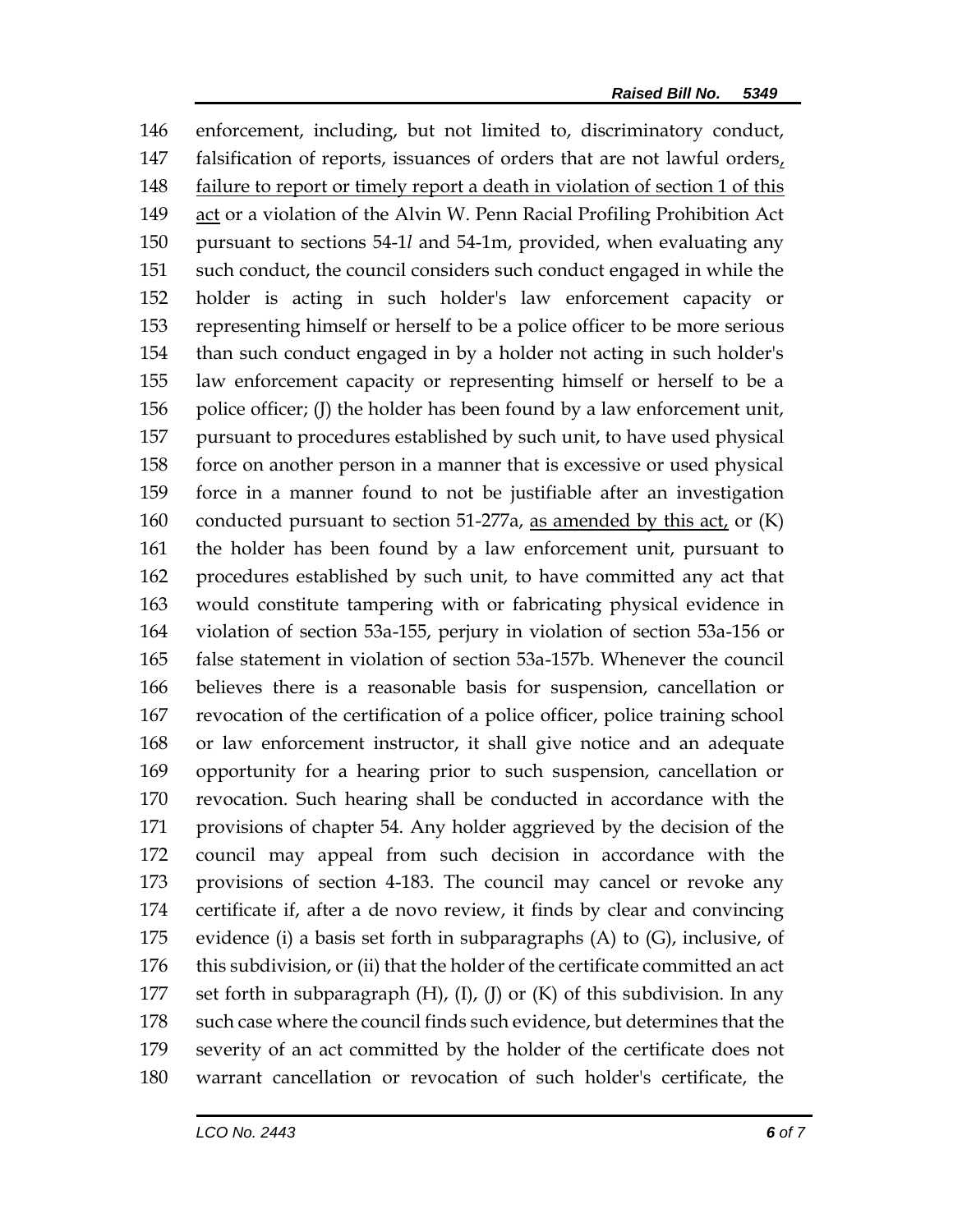enforcement, including, but not limited to, discriminatory conduct, falsification of reports, issuances of orders that are not lawful orders, 148 failure to report or timely report a death in violation of section 1 of this act or a violation of the Alvin W. Penn Racial Profiling Prohibition Act pursuant to sections 54-1*l* and 54-1m, provided, when evaluating any such conduct, the council considers such conduct engaged in while the holder is acting in such holder's law enforcement capacity or representing himself or herself to be a police officer to be more serious than such conduct engaged in by a holder not acting in such holder's law enforcement capacity or representing himself or herself to be a 156 police officer; (J) the holder has been found by a law enforcement unit, pursuant to procedures established by such unit, to have used physical force on another person in a manner that is excessive or used physical force in a manner found to not be justifiable after an investigation 160 conducted pursuant to section 51-277a, as amended by this  $act<sub>L</sub>$  or  $(K)$  the holder has been found by a law enforcement unit, pursuant to procedures established by such unit, to have committed any act that would constitute tampering with or fabricating physical evidence in violation of section 53a-155, perjury in violation of section 53a-156 or false statement in violation of section 53a-157b. Whenever the council believes there is a reasonable basis for suspension, cancellation or revocation of the certification of a police officer, police training school or law enforcement instructor, it shall give notice and an adequate opportunity for a hearing prior to such suspension, cancellation or revocation. Such hearing shall be conducted in accordance with the provisions of chapter 54. Any holder aggrieved by the decision of the council may appeal from such decision in accordance with the provisions of section 4-183. The council may cancel or revoke any certificate if, after a de novo review, it finds by clear and convincing evidence (i) a basis set forth in subparagraphs (A) to (G), inclusive, of this subdivision, or (ii) that the holder of the certificate committed an act 177 set forth in subparagraph  $(H)$ ,  $(I)$ ,  $(I)$  or  $(K)$  of this subdivision. In any such case where the council finds such evidence, but determines that the severity of an act committed by the holder of the certificate does not warrant cancellation or revocation of such holder's certificate, the